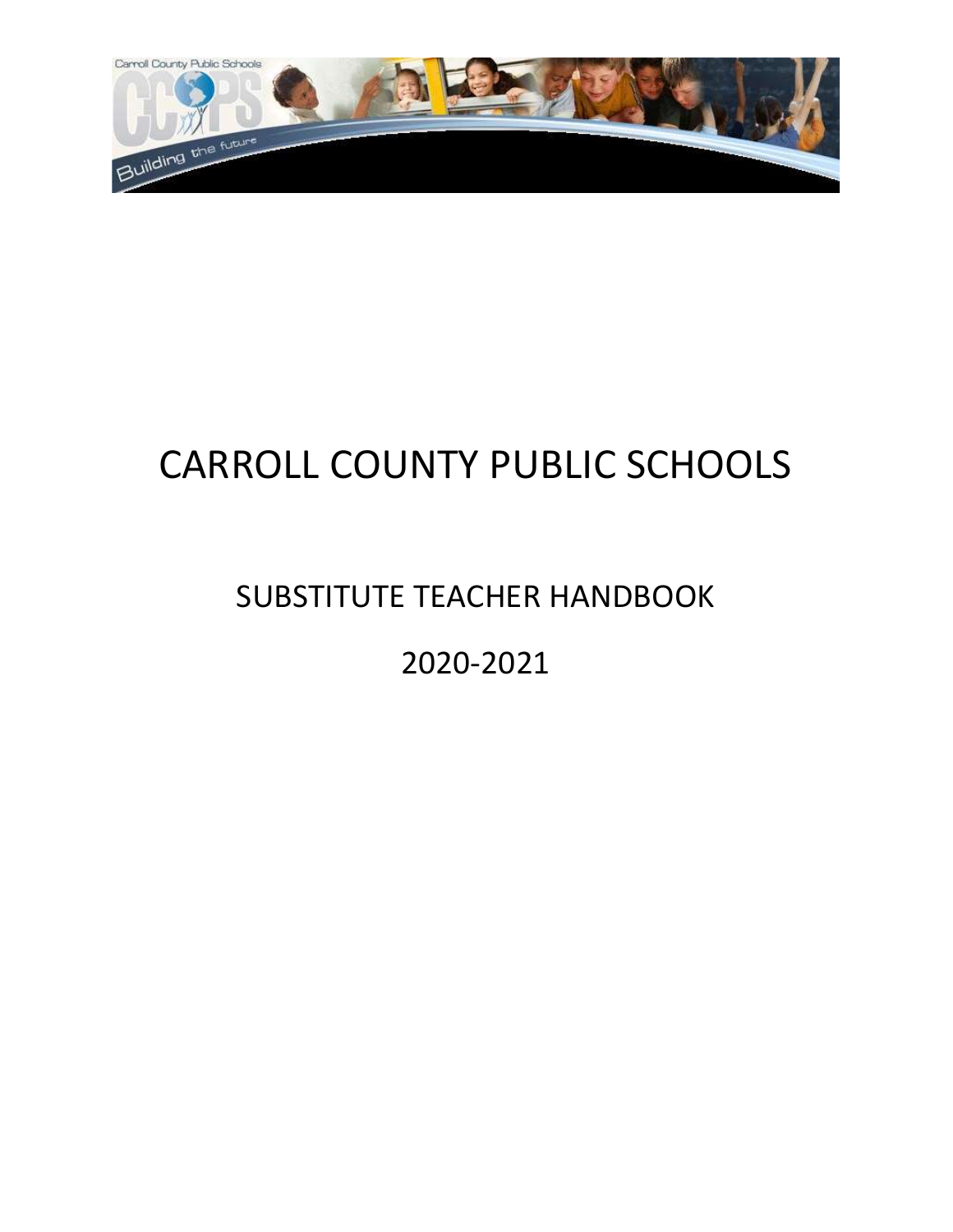

# CARROLL COUNTY PUBLIC SCHOOLS

## SUBSTITUTE TEACHER HANDBOOK

## 2020-2021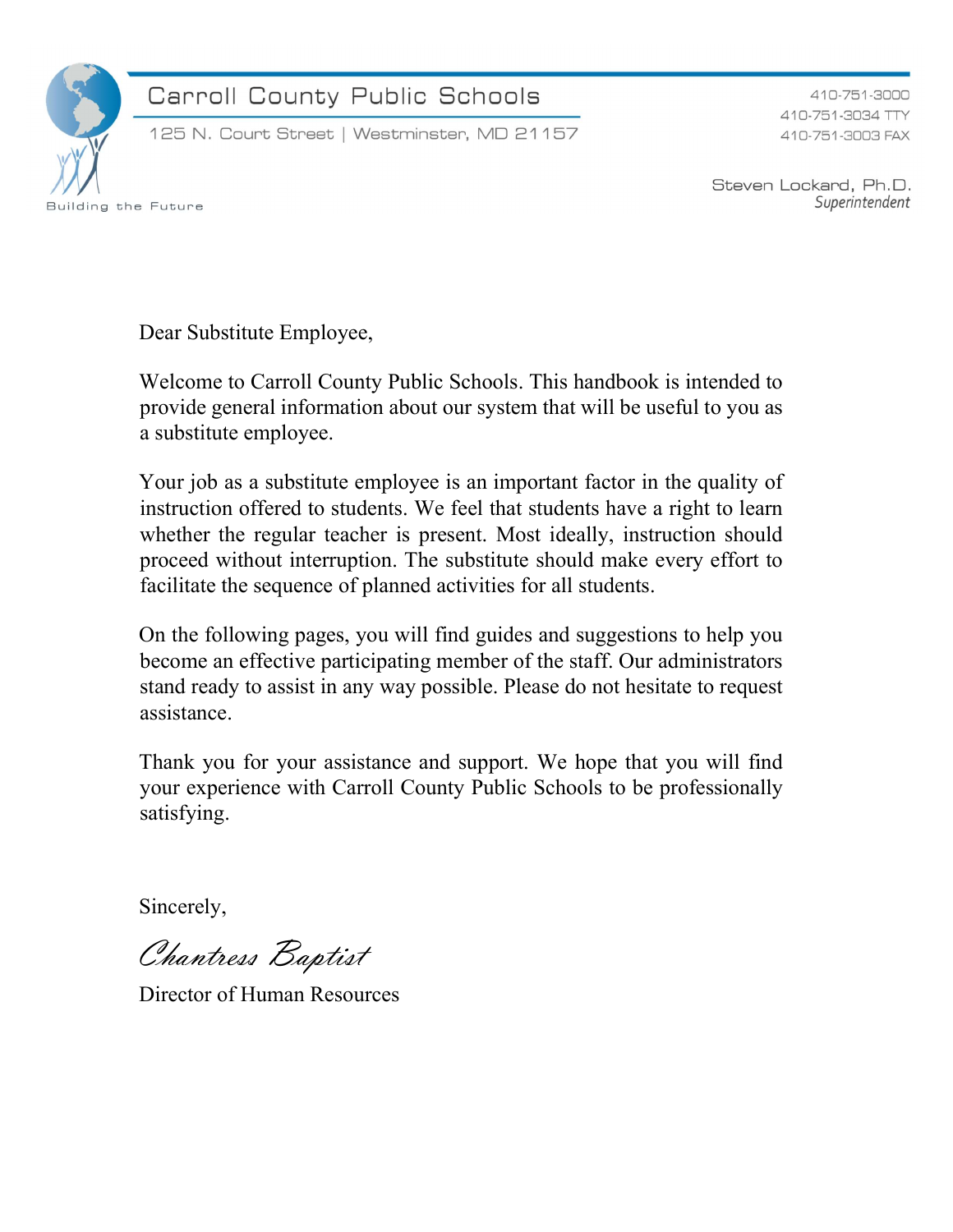

Carroll County Public Schools

125 N. Court Street | Westminster, MD 21157

410-751-3000 410-751-3034 TTY 410-751-3003 FAX

Steven Lockard, Ph.D. Superintendent

Dear Substitute Employee,

Welcome to Carroll County Public Schools. This handbook is intended to provide general information about our system that will be useful to you as a substitute employee.

Your job as a substitute employee is an important factor in the quality of instruction offered to students. We feel that students have a right to learn whether the regular teacher is present. Most ideally, instruction should proceed without interruption. The substitute should make every effort to facilitate the sequence of planned activities for all students.

On the following pages, you will find guides and suggestions to help you become an effective participating member of the staff. Our administrators stand ready to assist in any way possible. Please do not hesitate to request assistance.

Thank you for your assistance and support. We hope that you will find your experience with Carroll County Public Schools to be professionally satisfying.

Sincerely,

Chantress Baptist

Director of Human Resources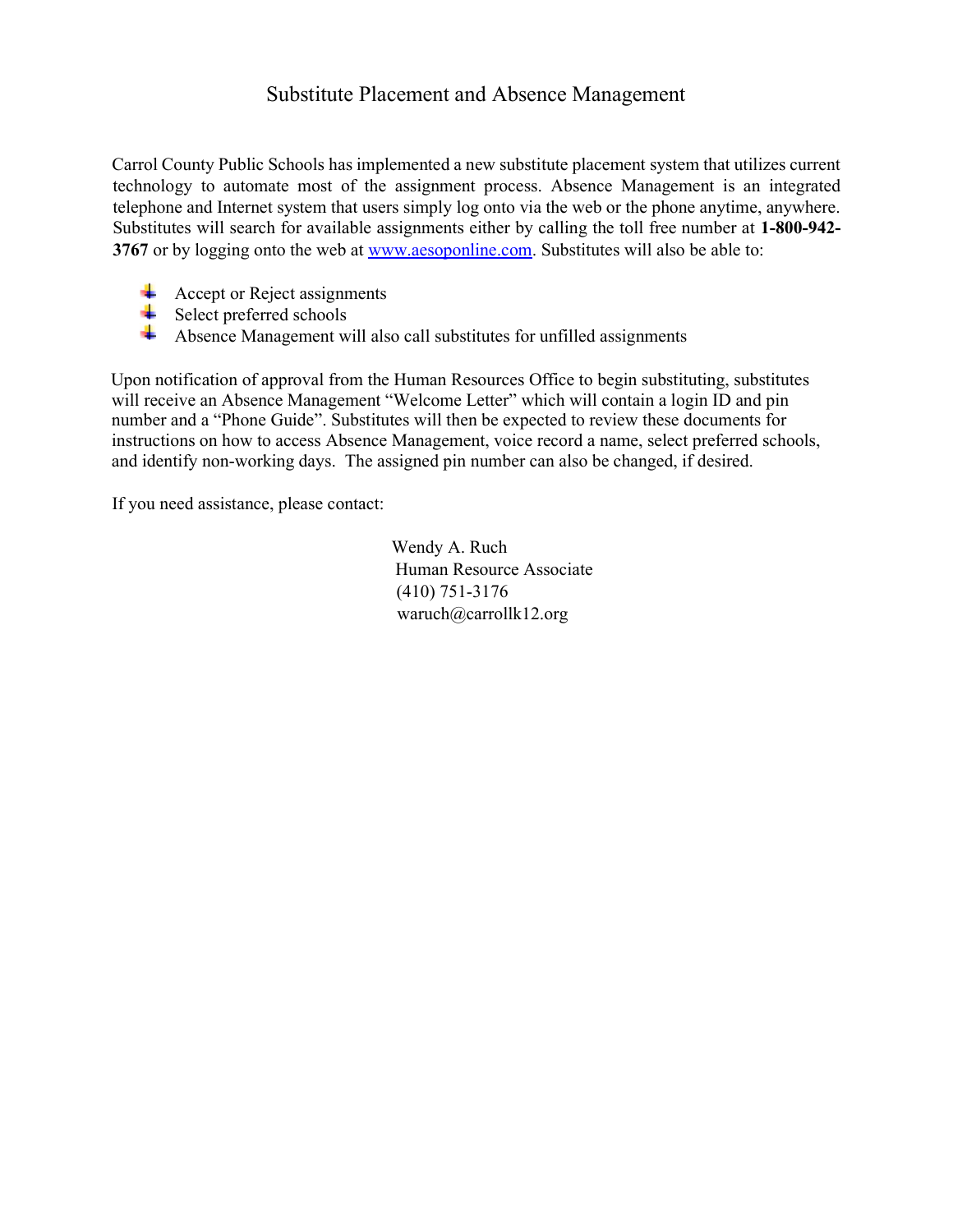#### Substitute Placement and Absence Management

Carrol County Public Schools has implemented a new substitute placement system that utilizes current technology to automate most of the assignment process. Absence Management is an integrated telephone and Internet system that users simply log onto via the web or the phone anytime, anywhere. Substitutes will search for available assignments either by calling the toll free number at 1-800-942- 3767 or by logging onto the web at www.aesoponline.com. Substitutes will also be able to:

- Accept or Reject assignments
- $\overline{\phantom{a}}$  Select preferred schools
- Absence Management will also call substitutes for unfilled assignments

Upon notification of approval from the Human Resources Office to begin substituting, substitutes will receive an Absence Management "Welcome Letter" which will contain a login ID and pin number and a "Phone Guide". Substitutes will then be expected to review these documents for instructions on how to access Absence Management, voice record a name, select preferred schools, and identify non-working days. The assigned pin number can also be changed, if desired.

If you need assistance, please contact:

Wendy A. Ruch Human Resource Associate (410) 751-3176 waruch@carrollk12.org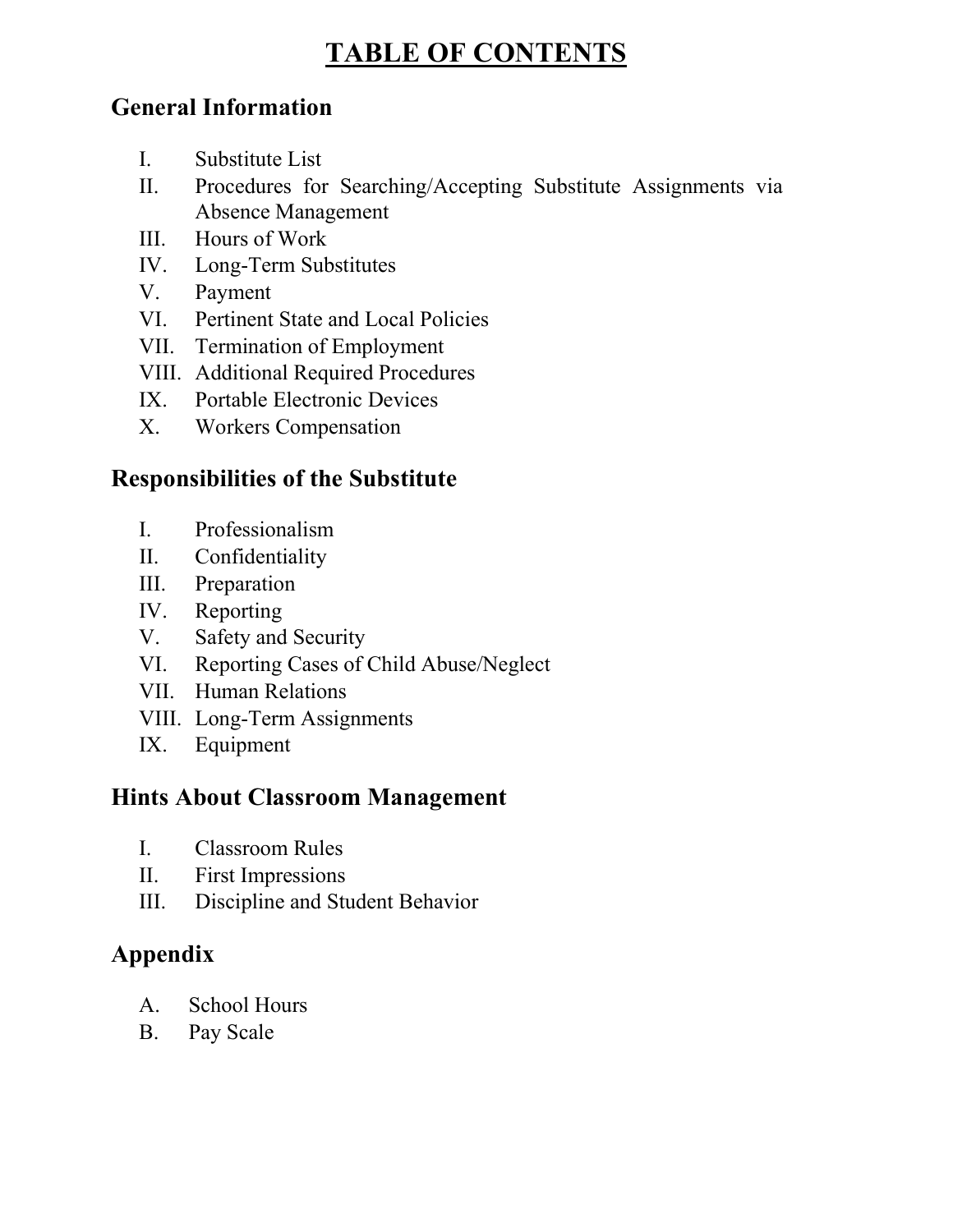## TABLE OF CONTENTS

### General Information

- I. Substitute List
- II. Procedures for Searching/Accepting Substitute Assignments via Absence Management
- III. Hours of Work
- IV. Long-Term Substitutes
- V. Payment
- VI. Pertinent State and Local Policies
- VII. Termination of Employment
- VIII. Additional Required Procedures
- IX. Portable Electronic Devices
- X. Workers Compensation

#### Responsibilities of the Substitute

- I. Professionalism
- II. Confidentiality
- III. Preparation
- IV. Reporting
- V. Safety and Security
- VI. Reporting Cases of Child Abuse/Neglect
- VII. Human Relations
- VIII. Long-Term Assignments
- IX. Equipment

#### Hints About Classroom Management

- I. Classroom Rules
- II. First Impressions
- III. Discipline and Student Behavior

### Appendix

- A. School Hours
- B. Pay Scale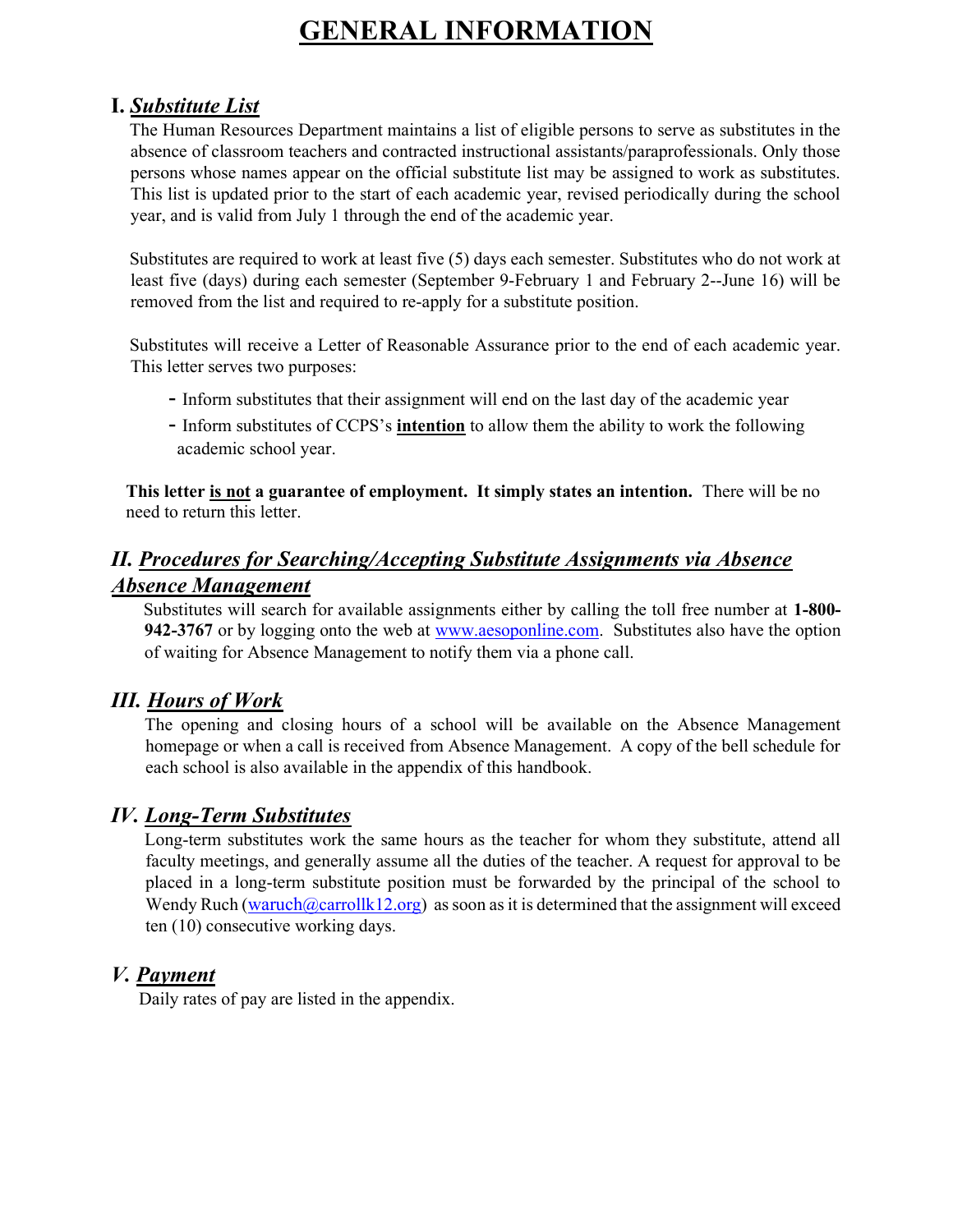## GENERAL INFORMATION

#### I. Substitute List

The Human Resources Department maintains a list of eligible persons to serve as substitutes in the absence of classroom teachers and contracted instructional assistants/paraprofessionals. Only those persons whose names appear on the official substitute list may be assigned to work as substitutes. This list is updated prior to the start of each academic year, revised periodically during the school year, and is valid from July 1 through the end of the academic year.

Substitutes are required to work at least five (5) days each semester. Substitutes who do not work at least five (days) during each semester (September 9-February 1 and February 2--June 16) will be removed from the list and required to re-apply for a substitute position.

Substitutes will receive a Letter of Reasonable Assurance prior to the end of each academic year. This letter serves two purposes:

- Inform substitutes that their assignment will end on the last day of the academic year
- Inform substitutes of CCPS's **intention** to allow them the ability to work the following academic school year.

This letter is not a guarantee of employment. It simply states an intention. There will be no need to return this letter.

#### II. Procedures for Searching/Accepting Substitute Assignments via Absence Absence Management

Substitutes will search for available assignments either by calling the toll free number at 1-800- 942-3767 or by logging onto the web at www.aesoponline.com. Substitutes also have the option of waiting for Absence Management to notify them via a phone call.

#### III. Hours of Work

The opening and closing hours of a school will be available on the Absence Management homepage or when a call is received from Absence Management. A copy of the bell schedule for each school is also available in the appendix of this handbook.

#### IV. Long-Term Substitutes

Long-term substitutes work the same hours as the teacher for whom they substitute, attend all faculty meetings, and generally assume all the duties of the teacher. A request for approval to be placed in a long-term substitute position must be forwarded by the principal of the school to Wendy Ruch (waruch  $@carrollk12.org$ ) as soon as it is determined that the assignment will exceed ten (10) consecutive working days.

#### V. Payment

Daily rates of pay are listed in the appendix.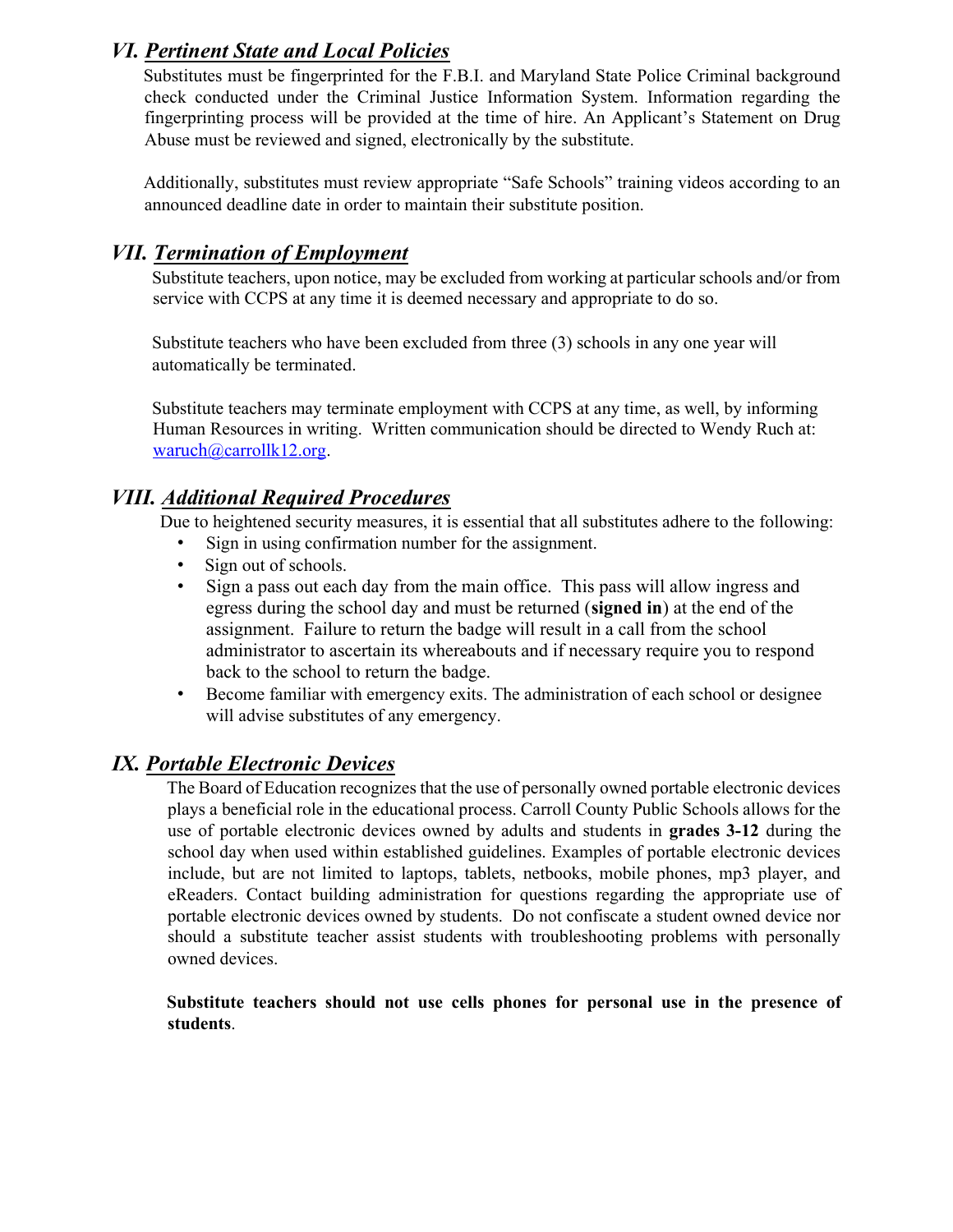#### VI. Pertinent State and Local Policies

Substitutes must be fingerprinted for the F.B.I. and Maryland State Police Criminal background check conducted under the Criminal Justice Information System. Information regarding the fingerprinting process will be provided at the time of hire. An Applicant's Statement on Drug Abuse must be reviewed and signed, electronically by the substitute.

Additionally, substitutes must review appropriate "Safe Schools" training videos according to an announced deadline date in order to maintain their substitute position.

#### VII. Termination of Employment

Substitute teachers, upon notice, may be excluded from working at particular schools and/or from service with CCPS at any time it is deemed necessary and appropriate to do so.

Substitute teachers who have been excluded from three (3) schools in any one year will automatically be terminated.

Substitute teachers may terminate employment with CCPS at any time, as well, by informing Human Resources in writing. Written communication should be directed to Wendy Ruch at: waruch@carrollk12.org.

#### VIII. Additional Required Procedures

Due to heightened security measures, it is essential that all substitutes adhere to the following:

- Sign in using confirmation number for the assignment.
- Sign out of schools.
- Sign a pass out each day from the main office. This pass will allow ingress and egress during the school day and must be returned (signed in) at the end of the assignment. Failure to return the badge will result in a call from the school administrator to ascertain its whereabouts and if necessary require you to respond back to the school to return the badge.
- Become familiar with emergency exits. The administration of each school or designee will advise substitutes of any emergency.

#### IX. Portable Electronic Devices

The Board of Education recognizes that the use of personally owned portable electronic devices plays a beneficial role in the educational process. Carroll County Public Schools allows for the use of portable electronic devices owned by adults and students in **grades 3-12** during the school day when used within established guidelines. Examples of portable electronic devices include, but are not limited to laptops, tablets, netbooks, mobile phones, mp3 player, and eReaders. Contact building administration for questions regarding the appropriate use of portable electronic devices owned by students. Do not confiscate a student owned device nor should a substitute teacher assist students with troubleshooting problems with personally owned devices.

#### Substitute teachers should not use cells phones for personal use in the presence of students.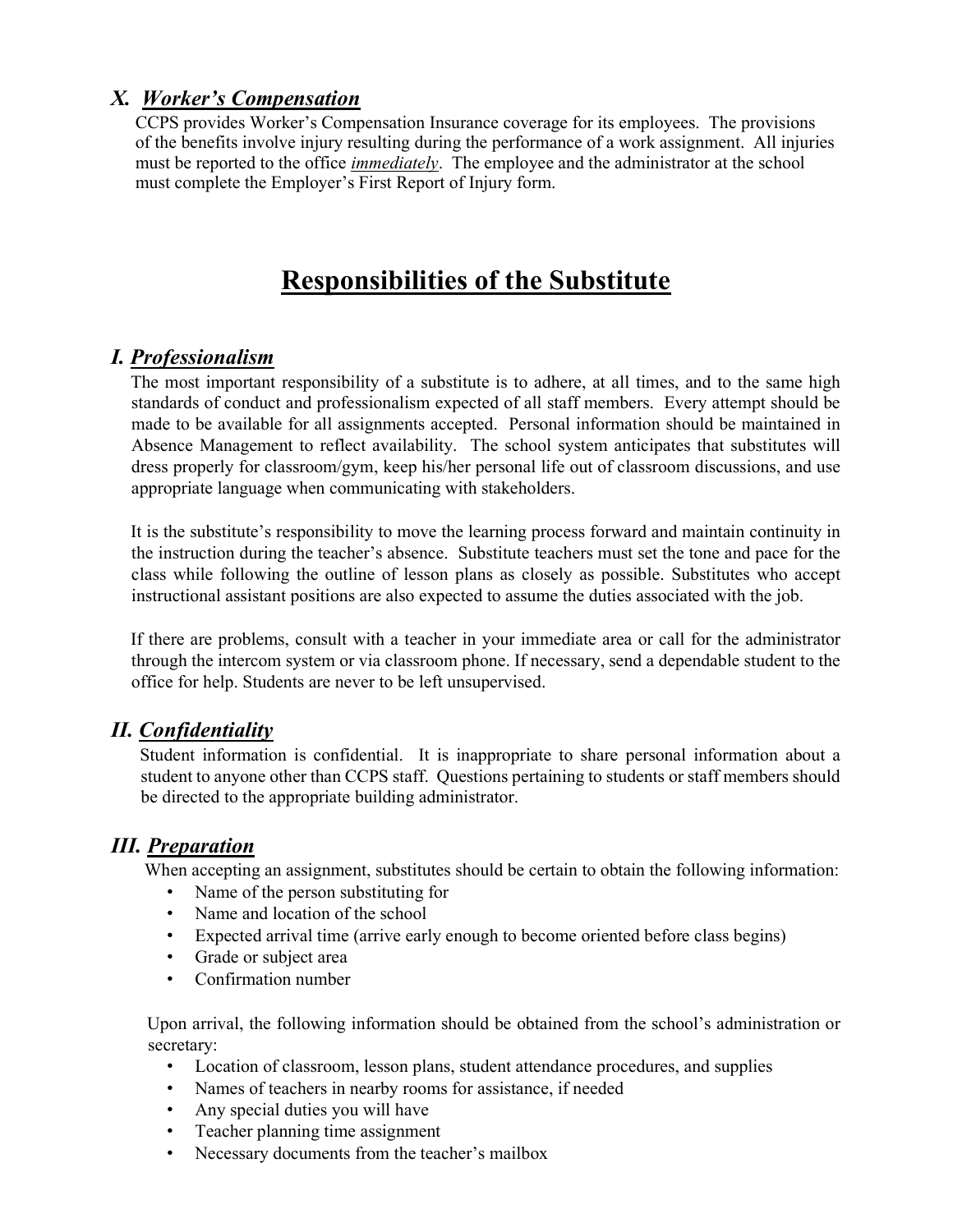#### X. Worker's Compensation

CCPS provides Worker's Compensation Insurance coverage for its employees. The provisions of the benefits involve injury resulting during the performance of a work assignment. All injuries must be reported to the office *immediately*. The employee and the administrator at the school must complete the Employer's First Report of Injury form.

## Responsibilities of the Substitute

#### I. Professionalism

The most important responsibility of a substitute is to adhere, at all times, and to the same high standards of conduct and professionalism expected of all staff members. Every attempt should be made to be available for all assignments accepted. Personal information should be maintained in Absence Management to reflect availability. The school system anticipates that substitutes will dress properly for classroom/gym, keep his/her personal life out of classroom discussions, and use appropriate language when communicating with stakeholders.

It is the substitute's responsibility to move the learning process forward and maintain continuity in the instruction during the teacher's absence. Substitute teachers must set the tone and pace for the class while following the outline of lesson plans as closely as possible. Substitutes who accept instructional assistant positions are also expected to assume the duties associated with the job.

If there are problems, consult with a teacher in your immediate area or call for the administrator through the intercom system or via classroom phone. If necessary, send a dependable student to the office for help. Students are never to be left unsupervised.

#### II. Confidentiality

Student information is confidential. It is inappropriate to share personal information about a student to anyone other than CCPS staff. Questions pertaining to students or staff members should be directed to the appropriate building administrator.

#### III. Preparation

When accepting an assignment, substitutes should be certain to obtain the following information:

- Name of the person substituting for
- Name and location of the school
- Expected arrival time (arrive early enough to become oriented before class begins)
- Grade or subject area
- Confirmation number

Upon arrival, the following information should be obtained from the school's administration or secretary:

- Location of classroom, lesson plans, student attendance procedures, and supplies
- Names of teachers in nearby rooms for assistance, if needed
- Any special duties you will have
- Teacher planning time assignment
- Necessary documents from the teacher's mailbox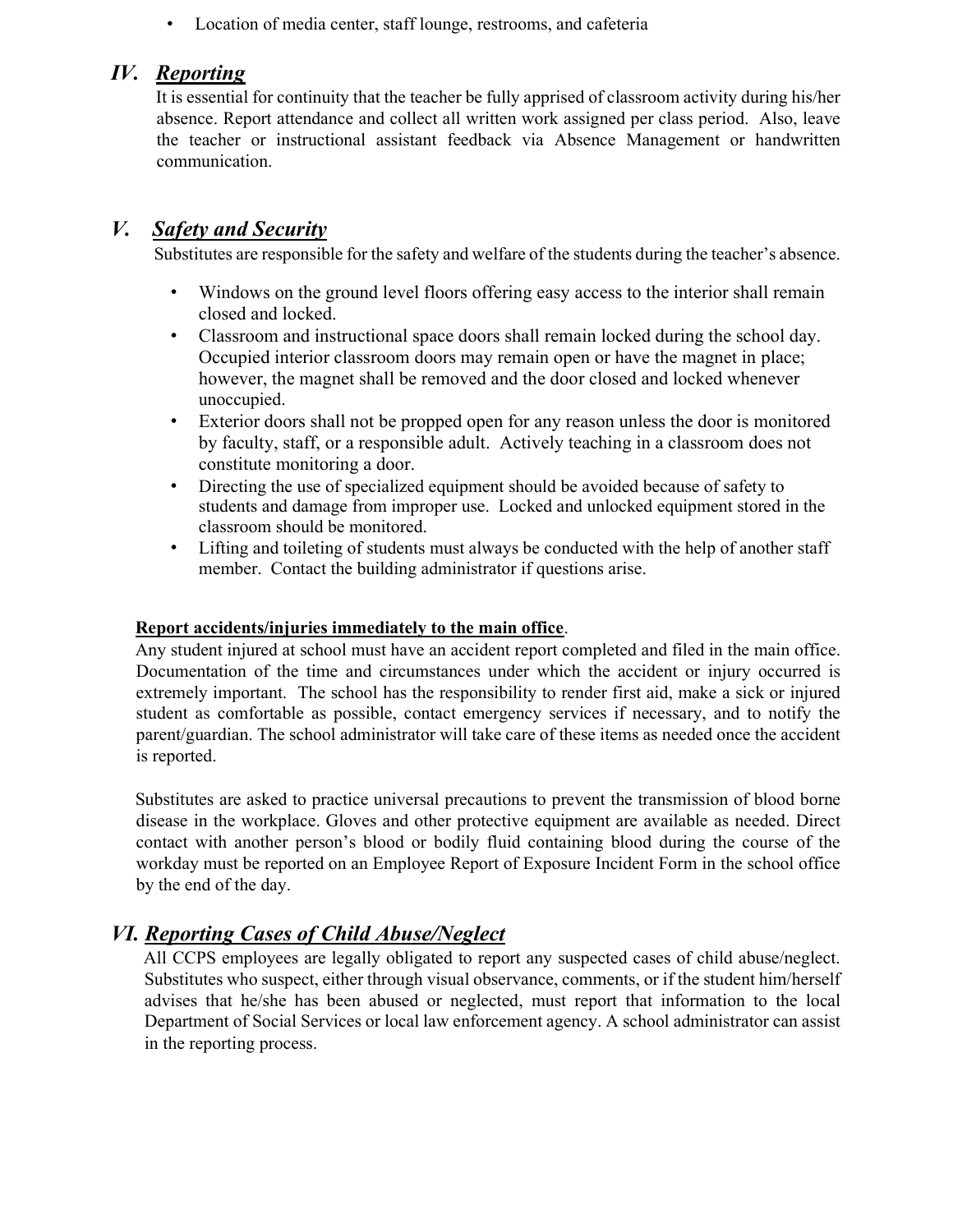• Location of media center, staff lounge, restrooms, and cafeteria

#### IV. Reporting

It is essential for continuity that the teacher be fully apprised of classroom activity during his/her absence. Report attendance and collect all written work assigned per class period. Also, leave the teacher or instructional assistant feedback via Absence Management or handwritten communication.

#### V. Safety and Security

Substitutes are responsible for the safety and welfare of the students during the teacher's absence.

- Windows on the ground level floors offering easy access to the interior shall remain closed and locked.
- Classroom and instructional space doors shall remain locked during the school day. Occupied interior classroom doors may remain open or have the magnet in place; however, the magnet shall be removed and the door closed and locked whenever unoccupied.
- Exterior doors shall not be propped open for any reason unless the door is monitored by faculty, staff, or a responsible adult. Actively teaching in a classroom does not constitute monitoring a door.
- Directing the use of specialized equipment should be avoided because of safety to students and damage from improper use. Locked and unlocked equipment stored in the classroom should be monitored.
- Lifting and toileting of students must always be conducted with the help of another staff member. Contact the building administrator if questions arise.

#### Report accidents/injuries immediately to the main office.

Any student injured at school must have an accident report completed and filed in the main office. Documentation of the time and circumstances under which the accident or injury occurred is extremely important. The school has the responsibility to render first aid, make a sick or injured student as comfortable as possible, contact emergency services if necessary, and to notify the parent/guardian. The school administrator will take care of these items as needed once the accident is reported.

Substitutes are asked to practice universal precautions to prevent the transmission of blood borne disease in the workplace. Gloves and other protective equipment are available as needed. Direct contact with another person's blood or bodily fluid containing blood during the course of the workday must be reported on an Employee Report of Exposure Incident Form in the school office by the end of the day.

#### VI. Reporting Cases of Child Abuse/Neglect

All CCPS employees are legally obligated to report any suspected cases of child abuse/neglect. Substitutes who suspect, either through visual observance, comments, or if the student him/herself advises that he/she has been abused or neglected, must report that information to the local Department of Social Services or local law enforcement agency. A school administrator can assist in the reporting process.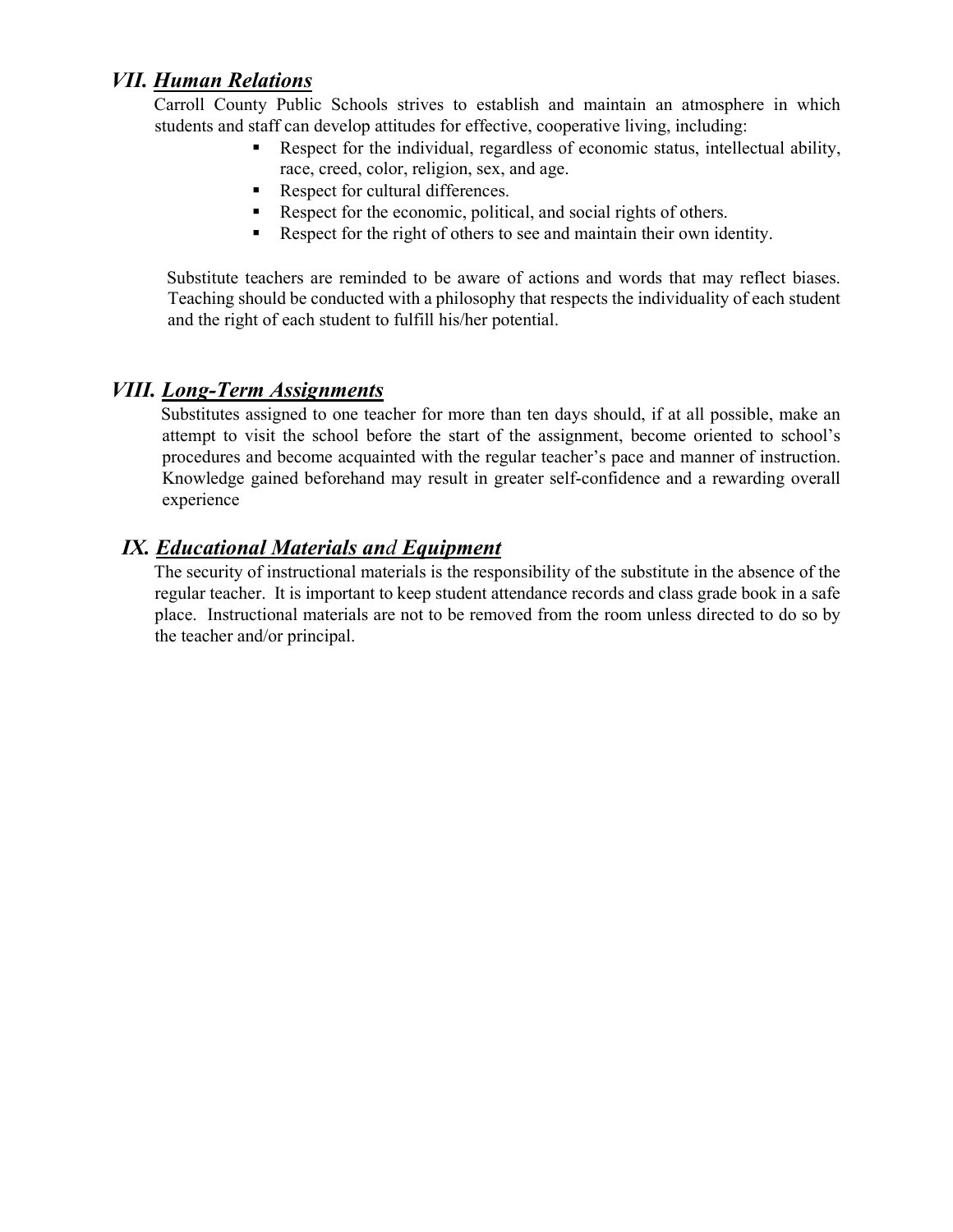#### VII. Human Relations

Carroll County Public Schools strives to establish and maintain an atmosphere in which students and staff can develop attitudes for effective, cooperative living, including:

- Respect for the individual, regardless of economic status, intellectual ability, race, creed, color, religion, sex, and age.
- Respect for cultural differences.
- Respect for the economic, political, and social rights of others.
- Respect for the right of others to see and maintain their own identity.

Substitute teachers are reminded to be aware of actions and words that may reflect biases. Teaching should be conducted with a philosophy that respects the individuality of each student and the right of each student to fulfill his/her potential.

#### VIII. Long-Term Assignments

Substitutes assigned to one teacher for more than ten days should, if at all possible, make an attempt to visit the school before the start of the assignment, become oriented to school's procedures and become acquainted with the regular teacher's pace and manner of instruction. Knowledge gained beforehand may result in greater self-confidence and a rewarding overall experience

#### IX. Educational Materials and Equipment

The security of instructional materials is the responsibility of the substitute in the absence of the regular teacher. It is important to keep student attendance records and class grade book in a safe place. Instructional materials are not to be removed from the room unless directed to do so by the teacher and/or principal.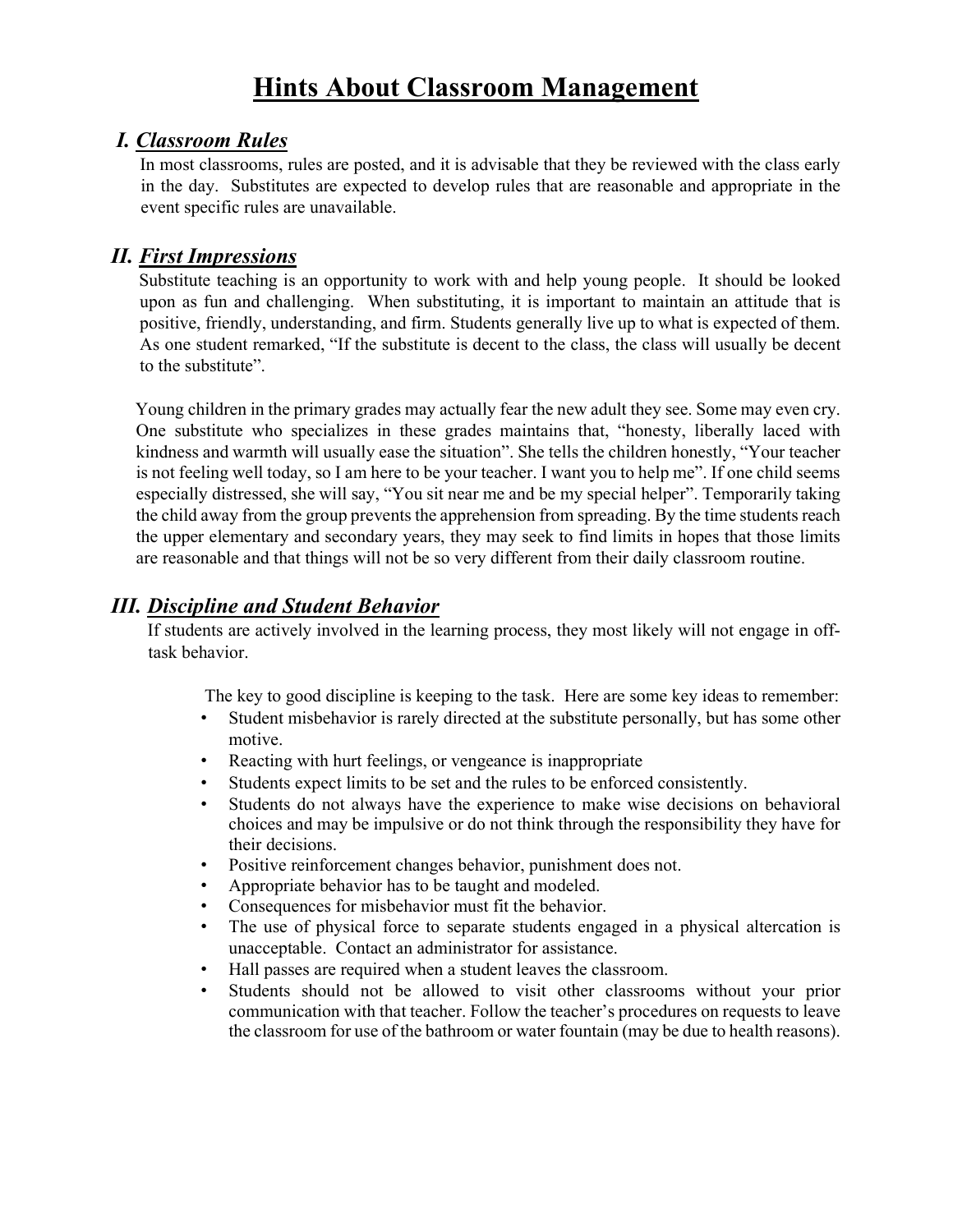## Hints About Classroom Management

#### I. Classroom Rules

In most classrooms, rules are posted, and it is advisable that they be reviewed with the class early in the day. Substitutes are expected to develop rules that are reasonable and appropriate in the event specific rules are unavailable.

#### II. First Impressions

Substitute teaching is an opportunity to work with and help young people. It should be looked upon as fun and challenging. When substituting, it is important to maintain an attitude that is positive, friendly, understanding, and firm. Students generally live up to what is expected of them. As one student remarked, "If the substitute is decent to the class, the class will usually be decent to the substitute".

Young children in the primary grades may actually fear the new adult they see. Some may even cry. One substitute who specializes in these grades maintains that, "honesty, liberally laced with kindness and warmth will usually ease the situation". She tells the children honestly, "Your teacher is not feeling well today, so I am here to be your teacher. I want you to help me". If one child seems especially distressed, she will say, "You sit near me and be my special helper". Temporarily taking the child away from the group prevents the apprehension from spreading. By the time students reach the upper elementary and secondary years, they may seek to find limits in hopes that those limits are reasonable and that things will not be so very different from their daily classroom routine.

#### III. Discipline and Student Behavior

If students are actively involved in the learning process, they most likely will not engage in offtask behavior.

The key to good discipline is keeping to the task. Here are some key ideas to remember:

- Student misbehavior is rarely directed at the substitute personally, but has some other motive.
- Reacting with hurt feelings, or vengeance is inappropriate
- Students expect limits to be set and the rules to be enforced consistently.
- Students do not always have the experience to make wise decisions on behavioral choices and may be impulsive or do not think through the responsibility they have for their decisions.
- Positive reinforcement changes behavior, punishment does not.
- Appropriate behavior has to be taught and modeled.
- Consequences for misbehavior must fit the behavior.
- The use of physical force to separate students engaged in a physical altercation is unacceptable. Contact an administrator for assistance.
- Hall passes are required when a student leaves the classroom.
- Students should not be allowed to visit other classrooms without your prior communication with that teacher. Follow the teacher's procedures on requests to leave the classroom for use of the bathroom or water fountain (may be due to health reasons).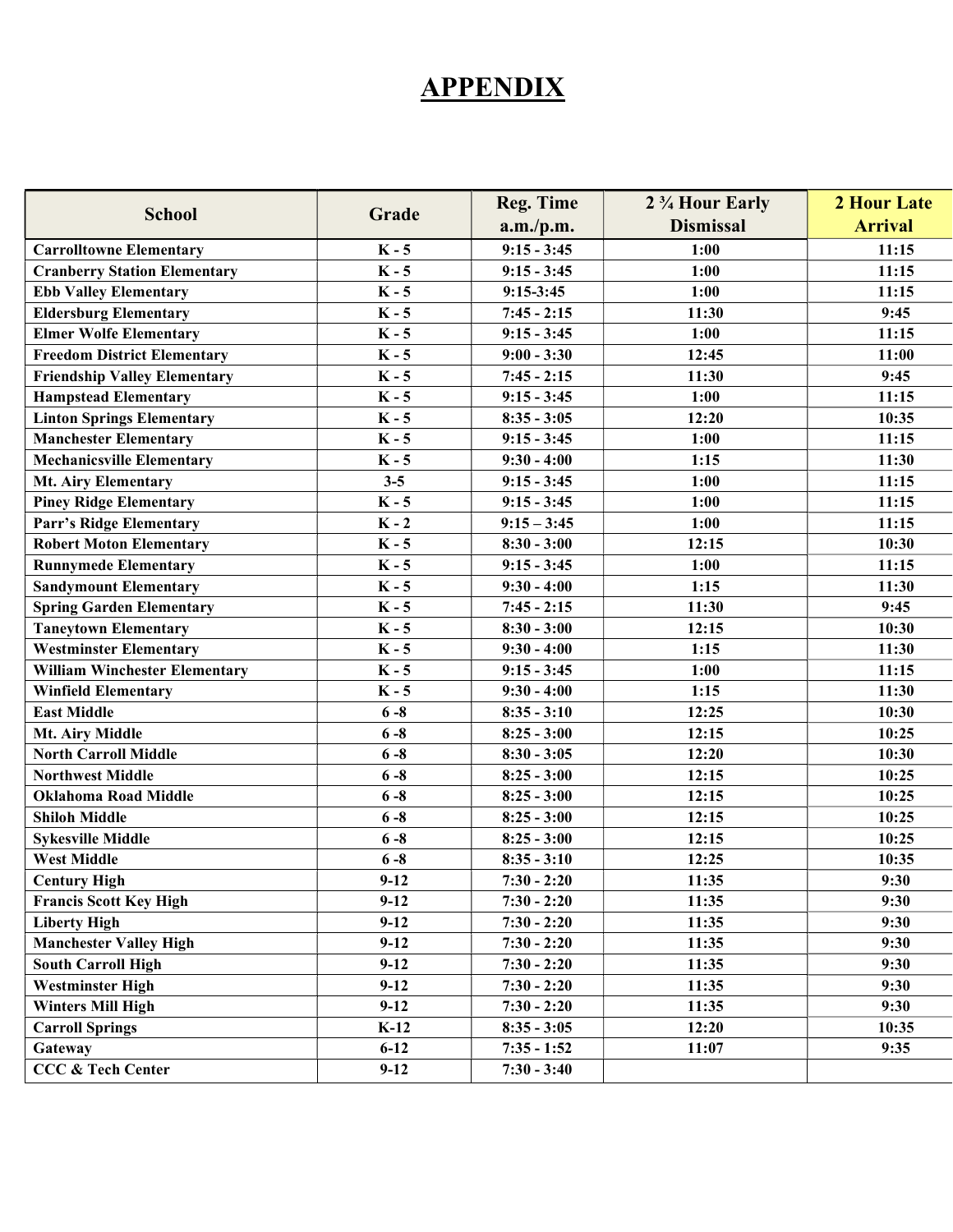## **APPENDIX**

| <b>School</b>                        | Grade    | <b>Reg. Time</b> | 2 <sup>3</sup> / <sub>4</sub> Hour Early | 2 Hour Late    |
|--------------------------------------|----------|------------------|------------------------------------------|----------------|
|                                      |          | a.m./p.m.        | <b>Dismissal</b>                         | <b>Arrival</b> |
| <b>Carrolltowne Elementary</b>       | $K - 5$  | $9:15 - 3:45$    | 1:00                                     | 11:15          |
| <b>Cranberry Station Elementary</b>  | $K - 5$  | $9:15 - 3:45$    | 1:00                                     | 11:15          |
| <b>Ebb Valley Elementary</b>         | $K - 5$  | $9:15-3:45$      | 1:00                                     | 11:15          |
| <b>Eldersburg Elementary</b>         | $K - 5$  | $7:45 - 2:15$    | 11:30                                    | 9:45           |
| <b>Elmer Wolfe Elementary</b>        | $K - 5$  | $9:15 - 3:45$    | 1:00                                     | 11:15          |
| <b>Freedom District Elementary</b>   | $K - 5$  | $9:00 - 3:30$    | 12:45                                    | 11:00          |
| <b>Friendship Valley Elementary</b>  | $K - 5$  | $7:45 - 2:15$    | 11:30                                    | 9:45           |
| <b>Hampstead Elementary</b>          | $K - 5$  | $9:15 - 3:45$    | 1:00                                     | 11:15          |
| <b>Linton Springs Elementary</b>     | $K - 5$  | $8:35 - 3:05$    | 12:20                                    | 10:35          |
| <b>Manchester Elementary</b>         | $K - 5$  | $9:15 - 3:45$    | 1:00                                     | 11:15          |
| <b>Mechanicsville Elementary</b>     | $K - 5$  | $9:30 - 4:00$    | 1:15                                     | 11:30          |
| <b>Mt. Airy Elementary</b>           | $3 - 5$  | $9:15 - 3:45$    | 1:00                                     | 11:15          |
| <b>Piney Ridge Elementary</b>        | $K - 5$  | $9:15 - 3:45$    | 1:00                                     | 11:15          |
| Parr's Ridge Elementary              | $K - 2$  | $9:15 - 3:45$    | 1:00                                     | 11:15          |
| <b>Robert Moton Elementary</b>       | $K - 5$  | $8:30 - 3:00$    | 12:15                                    | 10:30          |
| <b>Runnymede Elementary</b>          | $K - 5$  | $9:15 - 3:45$    | 1:00                                     | 11:15          |
| <b>Sandymount Elementary</b>         | $K - 5$  | $9:30 - 4:00$    | 1:15                                     | 11:30          |
| <b>Spring Garden Elementary</b>      | $K - 5$  | $7:45 - 2:15$    | 11:30                                    | 9:45           |
| <b>Taneytown Elementary</b>          | $K - 5$  | $8:30 - 3:00$    | 12:15                                    | 10:30          |
| <b>Westminster Elementary</b>        | $K - 5$  | $9:30 - 4:00$    | 1:15                                     | 11:30          |
| <b>William Winchester Elementary</b> | $K - 5$  | $9:15 - 3:45$    | 1:00                                     | 11:15          |
| <b>Winfield Elementary</b>           | $K - 5$  | $9:30 - 4:00$    | 1:15                                     | 11:30          |
| <b>East Middle</b>                   | $6 - 8$  | $8:35 - 3:10$    | 12:25                                    | 10:30          |
| Mt. Airy Middle                      | $6 - 8$  | $8:25 - 3:00$    | 12:15                                    | 10:25          |
| <b>North Carroll Middle</b>          | $6 - 8$  | $8:30 - 3:05$    | 12:20                                    | 10:30          |
| <b>Northwest Middle</b>              | $6 - 8$  | $8:25 - 3:00$    | 12:15                                    | 10:25          |
| <b>Oklahoma Road Middle</b>          | $6 - 8$  | $8:25 - 3:00$    | 12:15                                    | 10:25          |
| <b>Shiloh Middle</b>                 | $6 - 8$  | $8:25 - 3:00$    | 12:15                                    | 10:25          |
| <b>Sykesville Middle</b>             | $6 - 8$  | $8:25 - 3:00$    | 12:15                                    | 10:25          |
| <b>West Middle</b>                   | $6 - 8$  | $8:35 - 3:10$    | 12:25                                    | 10:35          |
| <b>Century High</b>                  | $9-12$   | $7:30 - 2:20$    | 11:35                                    | 9:30           |
| <b>Francis Scott Key High</b>        | $9-12$   | $7:30 - 2:20$    | 11:35                                    | 9:30           |
| <b>Liberty High</b>                  | $9-12$   | $7:30 - 2:20$    | 11:35                                    | 9:30           |
| <b>Manchester Valley High</b>        | $9-12$   | $7:30 - 2:20$    | 11:35                                    | 9:30           |
| <b>South Carroll High</b>            | $9-12$   | $7:30 - 2:20$    | 11:35                                    | 9:30           |
| <b>Westminster High</b>              | $9-12$   | $7:30 - 2:20$    | 11:35                                    | 9:30           |
| <b>Winters Mill High</b>             | $9-12$   | $7:30 - 2:20$    | 11:35                                    | 9:30           |
| <b>Carroll Springs</b>               | $K-12$   | $8:35 - 3:05$    | 12:20                                    | 10:35          |
| Gateway                              | $6 - 12$ | $7:35 - 1:52$    | 11:07                                    | 9:35           |
| <b>CCC &amp; Tech Center</b>         | $9-12$   | $7:30 - 3:40$    |                                          |                |